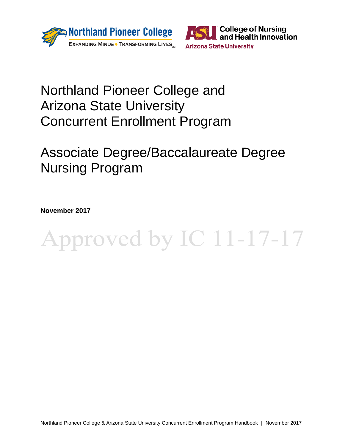



# Northland Pioneer College and Arizona State University Concurrent Enrollment Program

# Associate Degree/Baccalaureate Degree Nursing Program

**November 2017**

# Approved by IC 11-17-17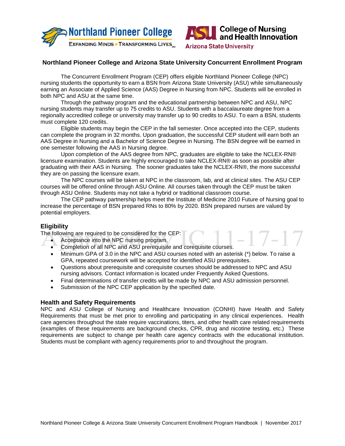



 $-1$   $\sqrt{-1}$ 

**Arizona State University** 

## **Northland Pioneer College and Arizona State University Concurrent Enrollment Program**

The Concurrent Enrollment Program (CEP) offers eligible Northland Pioneer College (NPC) nursing students the opportunity to earn a BSN from Arizona State University (ASU) while simultaneously earning an Associate of Applied Science (AAS) Degree in Nursing from NPC. Students will be enrolled in both NPC and ASU at the same time.

Through the pathway program and the educational partnership between NPC and ASU, NPC nursing students may transfer up to 75 credits to ASU. Students with a baccalaureate degree from a regionally accredited college or university may transfer up to 90 credits to ASU. To earn a BSN, students must complete 120 credits.

Eligible students may begin the CEP in the fall semester. Once accepted into the CEP, students can complete the program in 32 months. Upon graduation, the successful CEP student will earn both an AAS Degree in Nursing and a Bachelor of Science Degree in Nursing. The BSN degree will be earned in one semester following the AAS in Nursing degree.

Upon completion of the AAS degree from NPC, graduates are eligible to take the NCLEX-RN® licensure examination. Students are highly encouraged to take NCLEX-RN® as soon as possible after graduating with their AAS in Nursing. The sooner graduates take the NCLEX-RN®, the more successful they are on passing the licensure exam.

The NPC courses will be taken at NPC in the classroom, lab, and at clinical sites. The ASU CEP courses will be offered online through ASU Online. All courses taken through the CEP must be taken through ASU Online. Students may not take a hybrid or traditional classroom course.

The CEP pathway partnership helps meet the Institute of Medicine 2010 Future of Nursing goal to increase the percentage of BSN prepared RNs to 80% by 2020. BSN prepared nurses are valued by potential employers.

# **Eligibility**

The following are required to be considered for the CEP:

- Acceptance into the NPC nursing program.
- Completion of all NPC and ASU prerequisite and corequisite courses.
- Minimum GPA of 3.0 in the NPC and ASU courses noted with an asterisk (\*) below. To raise a GPA, repeated coursework will be accepted for identified ASU prerequisites.
- Questions about prerequisite and corequisite courses should be addressed to NPC and ASU nursing advisors. Contact information is located under Frequently Asked Questions.
- Final determinations of transfer credits will be made by NPC and ASU admission personnel.
- Submission of the NPC CEP application by the specified date.

#### **Health and Safety Requirements**

NPC and ASU College of Nursing and Healthcare Innovation (CONHI) have Health and Safety Requirements that must be met prior to enrolling and participating in any clinical experiences. Health care agencies throughout the state require vaccinations, titers, and other health care related requirements (examples of these requirements are background checks, CPR, drug and nicotine testing, etc.) These requirements are subject to change per health care agency contracts with the educational institution. Students must be compliant with agency requirements prior to and throughout the program.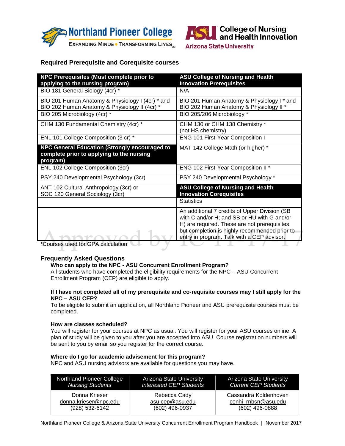



# **Required Prerequisite and Corequisite courses**

| NPC Prerequisites (Must complete prior to<br>applying to the nursing program)                          | <b>ASU College of Nursing and Health</b><br><b>Innovation Prerequisites</b>                                                                                                                                                                 |
|--------------------------------------------------------------------------------------------------------|---------------------------------------------------------------------------------------------------------------------------------------------------------------------------------------------------------------------------------------------|
| BIO 181 General Biology (4cr) *                                                                        | N/A                                                                                                                                                                                                                                         |
| BIO 201 Human Anatomy & Physiology I (4cr) * and<br>BIO 202 Human Anatomy & Physiology II (4cr) *      | BIO 201 Human Anatomy & Physiology I * and<br>BIO 202 Human Anatomy & Physiology II *                                                                                                                                                       |
| BIO 205 Microbiology (4cr) *                                                                           | BIO 205/206 Microbiology *                                                                                                                                                                                                                  |
| CHM 130 Fundamental Chemistry (4cr) *                                                                  | CHM 130 or CHM 138 Chemistry *<br>(not HS chemistry)                                                                                                                                                                                        |
| ENL 101 College Composition (3 cr) *                                                                   | <b>ENG 101 First-Year Composition I</b>                                                                                                                                                                                                     |
| NPC General Education (Strongly encouraged to<br>complete prior to applying to the nursing<br>program) | MAT 142 College Math (or higher) *                                                                                                                                                                                                          |
| ENL 102 College Composition (3cr)                                                                      | ENG 102 First-Year Composition II *                                                                                                                                                                                                         |
| PSY 240 Developmental Psychology (3cr)                                                                 | PSY 240 Developmental Psychology *                                                                                                                                                                                                          |
| ANT 102 Cultural Anthropology (3cr) or<br>SOC 120 General Sociology (3cr)                              | <b>ASU College of Nursing and Health</b><br><b>Innovation Corequisites</b>                                                                                                                                                                  |
|                                                                                                        | <b>Statistics</b>                                                                                                                                                                                                                           |
| *Courage used for CDA coloulation                                                                      | An additional 7 credits of Upper Division (SB<br>with C and/or H; and SB or HU with G and/or<br>H) are required. These are not prerequisites<br>but completion is highly recommended prior to<br>entry in program. Talk with a CEP advisor. |

**\***Courses used for GPA calculation

#### **Frequently Asked Questions**

# **Who can apply to the NPC - ASU Concurrent Enrollment Program?**

All students who have completed the eligibility requirements for the NPC – ASU Concurrent Enrollment Program (CEP) are eligible to apply.

#### **If I have not completed all of my prerequisite and co-requisite courses may I still apply for the NPC – ASU CEP?**

To be eligible to submit an application, all Northland Pioneer and ASU prerequisite courses must be completed.

#### **How are classes scheduled?**

You will register for your courses at NPC as usual. You will register for your ASU courses online. A plan of study will be given to you after you are accepted into ASU. Course registration numbers will be sent to you by email so you register for the correct course.

#### **Where do I go for academic advisement for this program?**

NPC and ASU nursing advisors are available for questions you may have.

| Northland Pioneer College | Arizona State University       | <b>Arizona State University</b> |
|---------------------------|--------------------------------|---------------------------------|
| <b>Nursing Students</b>   | <b>Interested CEP Students</b> | <b>Current CEP Students</b>     |
| Donna Krieser             | Rebecca Cady                   | Cassandra Koldenhoven           |
| donna.krieser@npc.edu     | asu.cep@asu.edu                | conhi rnbsn@asu.edu             |
| (928) 532-6142            | $(602)$ 496-0937               | (602) 496-0888                  |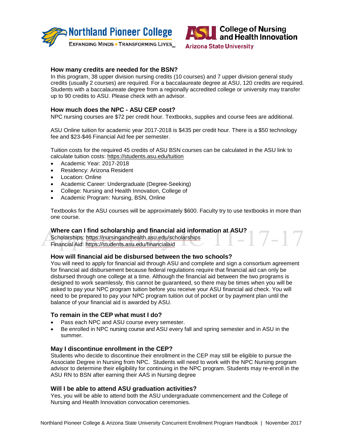



#### **How many credits are needed for the BSN?**

In this program, 38 upper division nursing credits (10 courses) and 7 upper division general study credits (usually 2 courses) are required. For a baccalaureate degree at ASU, 120 credits are required. Students with a baccalaureate degree from a regionally accredited college or university may transfer up to 90 credits to ASU. Please check with an advisor.

#### **How much does the NPC - ASU CEP cost?**

NPC nursing courses are \$72 per credit hour. Textbooks, supplies and course fees are additional.

ASU Online tuition for academic year 2017-2018 is \$435 per credit hour. There is a \$50 technology fee and \$23-\$46 Financial Aid fee per semester.

Tuition costs for the required 45 credits of ASU BSN courses can be calculated in the ASU link to calculate tuition costs: <https://students.asu.edu/tuition>

- Academic Year: 2017-2018
- Residency: Arizona Resident
- Location: Online
- Academic Career: Undergraduate (Degree-Seeking)
- College: Nursing and Health Innovation, College of
- Academic Program: Nursing, BSN, Online

Textbooks for the ASU courses will be approximately \$600. Faculty try to use textbooks in more than one course.

# **Where can I find scholarship and financial aid information at ASU?**

Scholarships: https://nursingandhealth.asu.edu/scholarships Financial Aid: https://students.asu.edu/financialaid

#### **How will financial aid be disbursed between the two schools?**

You will need to apply for financial aid through ASU and complete and sign a consortium agreement for financial aid disbursement because federal regulations require that financial aid can only be disbursed through one college at a time. Although the financial aid between the two programs is designed to work seamlessly, this cannot be guaranteed, so there may be times when you will be asked to pay your NPC program tuition before you receive your ASU financial aid check. You will need to be prepared to pay your NPC program tuition out of pocket or by payment plan until the balance of your financial aid is awarded by ASU.

#### **To remain in the CEP what must I do?**

- Pass each NPC and ASU course every semester.
- Be enrolled in NPC nursing course and ASU every fall and spring semester and in ASU in the summer.

#### **May I discontinue enrollment in the CEP?**

Students who decide to discontinue their enrollment in the CEP may still be eligible to pursue the Associate Degree in Nursing from NPC. Students will need to work with the NPC Nursing program advisor to determine their eligibility for continuing in the NPC program. Students may re-enroll in the ASU RN to BSN after earning their AAS in Nursing degree

#### **Will I be able to attend ASU graduation activities?**

Yes, you will be able to attend both the ASU undergraduate commencement and the College of Nursing and Health Innovation convocation ceremonies.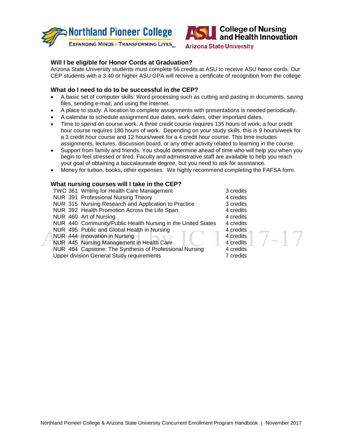



# **Will I be eligible for Honor Cords at Graduation?**

Arizona State University students must complete 56 credits at ASU to receive ASU honor cords. Our CEP students with a 3.40 or higher ASU GPA will receive a certificate of recognition from the college.

# **What do I need to do to be successful in the CEP?**

- A basic set of computer skills: Word processing such as cutting and pasting in documents, saving files, sending e-mail, and using the Internet.
- A place to study. A location to complete assignments with presentations is needed periodically.
- A calendar to schedule assignment due dates, work dates, other important dates.
- Time to spend on course work. A three credit course requires 135 hours of work; a four credit hour course requires 180 hours of work. Depending on your study skills, this is 9 hours/week for a 3 credit hour course and 12 hours/week for a 4 credit hour course. This time includes assignments, lectures, discussion board, or any other activity related to learning in the course.
- Support from family and friends. You should determine ahead of time who will help you when you begin to feel stressed or tired. Faculty and administrative staff are available to help you reach your goal of obtaining a baccalaureate degree, but you need to ask for assistance.
- Money for tuition, books, other expenses. We highly recommend completing the FAFSA form.

#### **What nursing courses will I take in the CEP?**

TWC 361 Writing for Health Care Management 3 credits NUR 391 Professional Nursing Theory<br>
NUR 315 Nursing Research and Application to Practice 3 credits NUR 315 Nursing Research and Application to Practice NUR 392 Health Promotion Across the Life Span 4 credits Acredits 190 Art of Nursing 1996 NUR 460 Art of Nursing 1996 NUR 440 Community/Public Health Nursing in the United States 4 credits NUR 440 Community/Public Health Nursing in the United States 4 credits<br>NUR 495 Public and Global Health in Nursing 4 credits NUR 495 Public and Global Health in Nursing NUR 444 Innovation in Nursing 4 credits<br>
NUR 445 Nursing Management in Health Care 4 credits NUR 445 Nursing Management in Health Care 4 credits<br>
NUR 464 Capstone: The Synthesis of Professional Nursing 4 credits NUR 464 Capstone: The Synthesis of Professional Nursing Upper division General Study requirements 7 credits

- 
- 
- $7 17$
-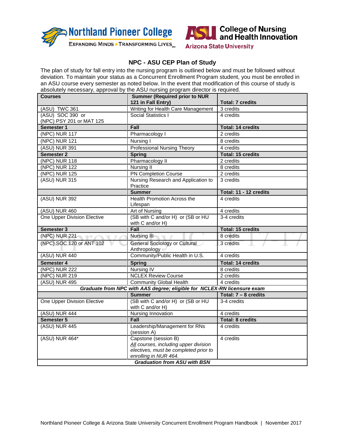



# **NPC - ASU CEP Plan of Study**

The plan of study for fall entry into the nursing program is outlined below and must be followed without deviation. To maintain your status as a Concurrent Enrollment Program student, you must be enrolled in an ASU course every semester as noted below. In the event that modification of this course of study is absolutely necessary, approval by the ASU nursing program director is required.

| <b>Courses</b>                                                          | <b>Summer (Required prior to NUR</b><br>121 in Fall Entry)                                                                                                             | <b>Total: 7 credits</b>  |  |
|-------------------------------------------------------------------------|------------------------------------------------------------------------------------------------------------------------------------------------------------------------|--------------------------|--|
| (ASU) TWC 361                                                           | Writing for Health Care Management                                                                                                                                     | 3 credits                |  |
| (ASU) SOC 390 or<br>(NPC) PSY 201 or MAT 125                            | Social Statistics I                                                                                                                                                    | 4 credits                |  |
| Semester 1                                                              | Fall                                                                                                                                                                   | <b>Total: 14 credits</b> |  |
| (NPC) NUR 117                                                           | Pharmacology I                                                                                                                                                         | 2 credits                |  |
| (NPC) NUR 121                                                           | Nursing I                                                                                                                                                              | 8 credits                |  |
| (ASU) NUR 391                                                           | <b>Professional Nursing Theory</b>                                                                                                                                     | 4 credits                |  |
| <b>Semester 2</b>                                                       | <b>Spring</b>                                                                                                                                                          | <b>Total: 15 credits</b> |  |
| (NPC) NUR 118                                                           | Pharmacology II                                                                                                                                                        | 2 credits                |  |
| (NPC) NUR 122                                                           | Nursing II                                                                                                                                                             | 8 credits                |  |
| (NPC) NUR 125                                                           | PN Completion Course                                                                                                                                                   | 2 credits                |  |
| (ASU) NUR 315                                                           | Nursing Research and Application to<br>Practice                                                                                                                        | 3 credits                |  |
|                                                                         | <b>Summer</b>                                                                                                                                                          | Total: 11 - 12 credits   |  |
| (ASU) NUR 392                                                           | Health Promotion Across the<br>Lifespan                                                                                                                                | 4 credits                |  |
| (ASU) NUR 460                                                           | Art of Nursing                                                                                                                                                         | 4 credits                |  |
| One Upper Division Elective                                             | (SB with C and/or H) or (SB or HU<br>with C and/or H)                                                                                                                  | 3-4 credits              |  |
| Semester 3                                                              | Fall                                                                                                                                                                   | <b>Total: 15 credits</b> |  |
| (NPC) NUR 221                                                           | Nursing III                                                                                                                                                            | 8 credits                |  |
| (NPC) SOC 120 or ANT 102                                                | <b>General Sociology or Cultural</b><br>Anthropology of                                                                                                                | 3 credits                |  |
| (ASU) NUR 440                                                           | Community/Public Health in U.S.                                                                                                                                        | 4 credits                |  |
| Semester 4                                                              | <b>Spring</b>                                                                                                                                                          | <b>Total: 14 credits</b> |  |
| (NPC) NUR $222$                                                         | <b>Nursing IV</b>                                                                                                                                                      | 8 credits                |  |
| (NPC) NUR 219                                                           | <b>NCLEX Review Course</b>                                                                                                                                             | 2 credits                |  |
| (ASU) NUR 495                                                           | <b>Community Global Health</b>                                                                                                                                         | 4 credits                |  |
| Graduate from NPC with AAS degree; eligible for NCLEX-RN licensure exam |                                                                                                                                                                        |                          |  |
|                                                                         | <b>Summer</b>                                                                                                                                                          | Total: $7 - 8$ credits   |  |
| One Upper Division Elective                                             | (SB with C and/or H) or (SB or HU<br>with C and/or H)                                                                                                                  | 3-4 credits              |  |
| (ASU) NUR 444                                                           | Nursing Innovation                                                                                                                                                     | 4 credits                |  |
| Semester 5                                                              | Fall                                                                                                                                                                   | <b>Total: 8 credits</b>  |  |
| (ASU) NUR 445                                                           | Leadership/Management for RNs<br>(session A)                                                                                                                           | 4 credits                |  |
| (ASU) NUR 464*                                                          | Capstone (session B)<br>All courses, including upper division<br>electives, must be completed prior to<br>enrolling in NUR 464.<br><b>Graduation from ASU with BSN</b> | 4 credits                |  |